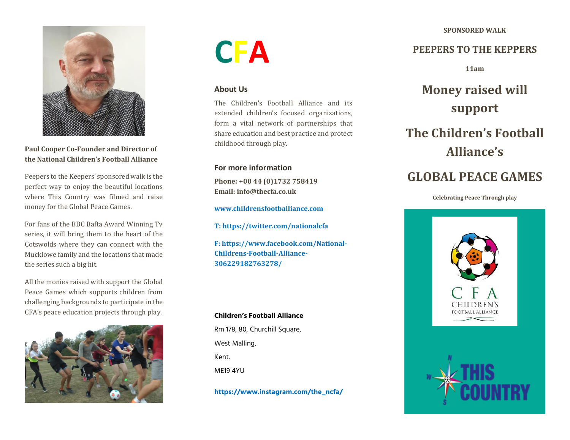**SPONSORED WALK**



**Paul Cooper Co-Founder and Director of the National Children's Football Alliance**

Peepers to the Keepers' sponsored walk is the perfect way to enjoy the beautiful locations where This Country was filmed and raise money for the Global Peace Games.

For fans of the BBC Bafta Award Winning Tv series, it will bring them to the heart of the Cotswolds where they can connect with the Mucklowe family and the locations that made the series such a big hit.

All the monies raised with support the Global Peace Games which supports children from challenging backgrounds to participate in the CFA's peace education projects through play.



# **CFA**

### **About Us**

The Children's Football Alliance and its extended children's focused organizations, form a vital network of partnerships that share education and best practice and protect childhood through play.

## **For more information**

**Phone: +00 44 (0)1732 758419 Email: info@thecfa.co.uk**

**[www.childrensfootballiance.com](http://www.childrensfootballiance.com/)**

**T[: https://twitter.com/nationalcfa](https://twitter.com/nationalcfa)**

**F[: https://www.facebook.com/National-](https://www.facebook.com/National-Childrens-Football-Alliance-306229182763278/)[Childrens-Football-Alliance-](https://www.facebook.com/National-Childrens-Football-Alliance-306229182763278/)[306229182763278/](https://www.facebook.com/National-Childrens-Football-Alliance-306229182763278/)**

#### **Children's Football Alliance**

Rm 178, 80, Churchill Square, West Malling, Kent. ME19 4YU

**https://www.instagram.com/the\_ncfa/**

## **PEEPERS TO THE KEPPERS**

**11am** 

## **Money raised will support**

## **The Children's Football Alliance's**

## **GLOBAL PEACE GAMES**

#### **Celebrating Peace Through play**